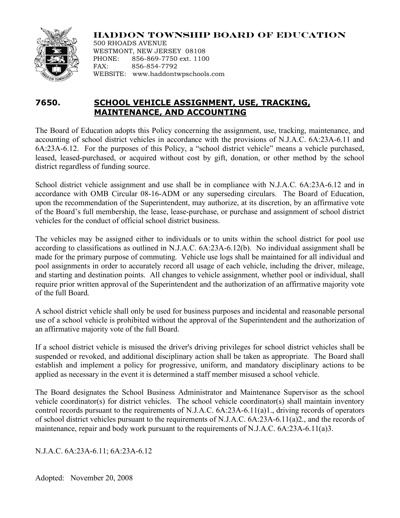

## **HADDON TOWNSHIP BOARD OF EDUCATION**

500 RHOADS AVENUE WESTMONT, NEW JERSEY 08108 PHONE: 856-869-7750 ext. 1100 FAX: 856-854-7792 WEBSITE: www.haddontwpschools.com

# **7650. SCHOOL VEHICLE ASSIGNMENT, USE, TRACKING, MAINTENANCE, AND ACCOUNTING**

The Board of Education adopts this Policy concerning the assignment, use, tracking, maintenance, and accounting of school district vehicles in accordance with the provisions of N.J.A.C. 6A:23A-6.11 and 6A:23A-6.12. For the purposes of this Policy, a "school district vehicle" means a vehicle purchased, leased, leased-purchased, or acquired without cost by gift, donation, or other method by the school district regardless of funding source.

School district vehicle assignment and use shall be in compliance with N.J.A.C. 6A:23A-6.12 and in accordance with OMB Circular 08-16-ADM or any superseding circulars. The Board of Education, upon the recommendation of the Superintendent, may authorize, at its discretion, by an affirmative vote of the Board's full membership, the lease, lease-purchase, or purchase and assignment of school district vehicles for the conduct of official school district business.

The vehicles may be assigned either to individuals or to units within the school district for pool use according to classifications as outlined in N.J.A.C. 6A:23A-6.12(b). No individual assignment shall be made for the primary purpose of commuting. Vehicle use logs shall be maintained for all individual and pool assignments in order to accurately record all usage of each vehicle, including the driver, mileage, and starting and destination points. All changes to vehicle assignment, whether pool or individual, shall require prior written approval of the Superintendent and the authorization of an affirmative majority vote of the full Board.

A school district vehicle shall only be used for business purposes and incidental and reasonable personal use of a school vehicle is prohibited without the approval of the Superintendent and the authorization of an affirmative majority vote of the full Board.

If a school district vehicle is misused the driver's driving privileges for school district vehicles shall be suspended or revoked, and additional disciplinary action shall be taken as appropriate. The Board shall establish and implement a policy for progressive, uniform, and mandatory disciplinary actions to be applied as necessary in the event it is determined a staff member misused a school vehicle.

The Board designates the School Business Administrator and Maintenance Supervisor as the school vehicle coordinator(s) for district vehicles. The school vehicle coordinator(s) shall maintain inventory control records pursuant to the requirements of N.J.A.C. 6A:23A-6.11(a)1., driving records of operators of school district vehicles pursuant to the requirements of N.J.A.C. 6A:23A-6.11(a)2., and the records of maintenance, repair and body work pursuant to the requirements of N.J.A.C. 6A:23A-6.11(a)3.

N.J.A.C. 6A:23A-6.11; 6A:23A-6.12

Adopted: November 20, 2008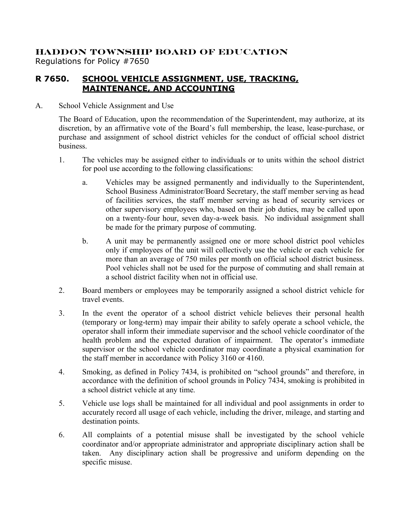## **HADDON TOWNSHIP BOARD OF EDUCATION** Regulations for Policy #7650

### **R 7650. SCHOOL VEHICLE ASSIGNMENT, USE, TRACKING, MAINTENANCE, AND ACCOUNTING**

### A. School Vehicle Assignment and Use

The Board of Education, upon the recommendation of the Superintendent, may authorize, at its discretion, by an affirmative vote of the Board's full membership, the lease, lease-purchase, or purchase and assignment of school district vehicles for the conduct of official school district business.

- 1. The vehicles may be assigned either to individuals or to units within the school district for pool use according to the following classifications:
	- a. Vehicles may be assigned permanently and individually to the Superintendent, School Business Administrator/Board Secretary, the staff member serving as head of facilities services, the staff member serving as head of security services or other supervisory employees who, based on their job duties, may be called upon on a twenty-four hour, seven day-a-week basis. No individual assignment shall be made for the primary purpose of commuting.
	- b. A unit may be permanently assigned one or more school district pool vehicles only if employees of the unit will collectively use the vehicle or each vehicle for more than an average of 750 miles per month on official school district business. Pool vehicles shall not be used for the purpose of commuting and shall remain at a school district facility when not in official use.
- 2. Board members or employees may be temporarily assigned a school district vehicle for travel events.
- 3. In the event the operator of a school district vehicle believes their personal health (temporary or long-term) may impair their ability to safely operate a school vehicle, the operator shall inform their immediate supervisor and the school vehicle coordinator of the health problem and the expected duration of impairment. The operator's immediate supervisor or the school vehicle coordinator may coordinate a physical examination for the staff member in accordance with Policy 3160 or 4160.
- 4. Smoking, as defined in Policy 7434, is prohibited on "school grounds" and therefore, in accordance with the definition of school grounds in Policy 7434, smoking is prohibited in a school district vehicle at any time.
- 5. Vehicle use logs shall be maintained for all individual and pool assignments in order to accurately record all usage of each vehicle, including the driver, mileage, and starting and destination points.
- 6. All complaints of a potential misuse shall be investigated by the school vehicle coordinator and/or appropriate administrator and appropriate disciplinary action shall be taken. Any disciplinary action shall be progressive and uniform depending on the specific misuse.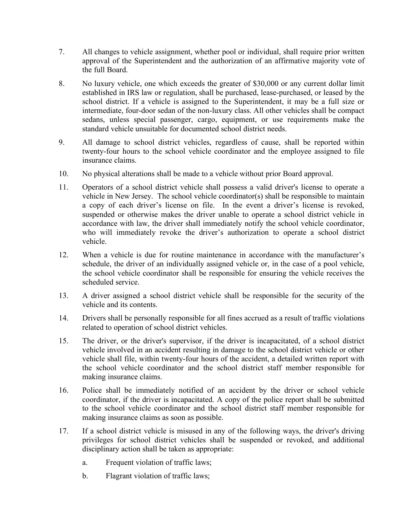- 7. All changes to vehicle assignment, whether pool or individual, shall require prior written approval of the Superintendent and the authorization of an affirmative majority vote of the full Board.
- 8. No luxury vehicle, one which exceeds the greater of \$30,000 or any current dollar limit established in IRS law or regulation, shall be purchased, lease-purchased, or leased by the school district. If a vehicle is assigned to the Superintendent, it may be a full size or intermediate, four-door sedan of the non-luxury class. All other vehicles shall be compact sedans, unless special passenger, cargo, equipment, or use requirements make the standard vehicle unsuitable for documented school district needs.
- 9. All damage to school district vehicles, regardless of cause, shall be reported within twenty-four hours to the school vehicle coordinator and the employee assigned to file insurance claims.
- 10. No physical alterations shall be made to a vehicle without prior Board approval.
- 11. Operators of a school district vehicle shall possess a valid driver's license to operate a vehicle in New Jersey. The school vehicle coordinator(s) shall be responsible to maintain a copy of each driver's license on file. In the event a driver's license is revoked, suspended or otherwise makes the driver unable to operate a school district vehicle in accordance with law, the driver shall immediately notify the school vehicle coordinator, who will immediately revoke the driver's authorization to operate a school district vehicle.
- 12. When a vehicle is due for routine maintenance in accordance with the manufacturer's schedule, the driver of an individually assigned vehicle or, in the case of a pool vehicle, the school vehicle coordinator shall be responsible for ensuring the vehicle receives the scheduled service.
- 13. A driver assigned a school district vehicle shall be responsible for the security of the vehicle and its contents.
- 14. Drivers shall be personally responsible for all fines accrued as a result of traffic violations related to operation of school district vehicles.
- 15. The driver, or the driver's supervisor, if the driver is incapacitated, of a school district vehicle involved in an accident resulting in damage to the school district vehicle or other vehicle shall file, within twenty-four hours of the accident, a detailed written report with the school vehicle coordinator and the school district staff member responsible for making insurance claims.
- 16. Police shall be immediately notified of an accident by the driver or school vehicle coordinator, if the driver is incapacitated. A copy of the police report shall be submitted to the school vehicle coordinator and the school district staff member responsible for making insurance claims as soon as possible.
- 17. If a school district vehicle is misused in any of the following ways, the driver's driving privileges for school district vehicles shall be suspended or revoked, and additional disciplinary action shall be taken as appropriate:
	- a. Frequent violation of traffic laws;
	- b. Flagrant violation of traffic laws;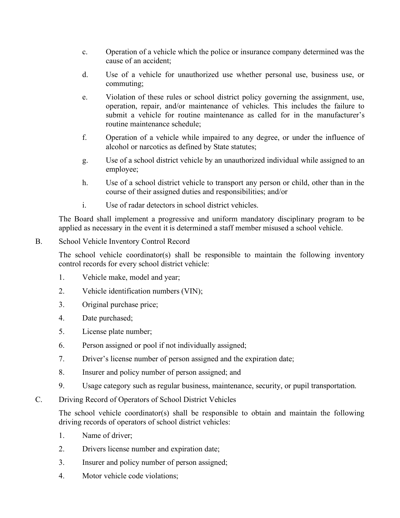- c. Operation of a vehicle which the police or insurance company determined was the cause of an accident;
- d. Use of a vehicle for unauthorized use whether personal use, business use, or commuting;
- e. Violation of these rules or school district policy governing the assignment, use, operation, repair, and/or maintenance of vehicles. This includes the failure to submit a vehicle for routine maintenance as called for in the manufacturer's routine maintenance schedule;
- f. Operation of a vehicle while impaired to any degree, or under the influence of alcohol or narcotics as defined by State statutes;
- g. Use of a school district vehicle by an unauthorized individual while assigned to an employee;
- h. Use of a school district vehicle to transport any person or child, other than in the course of their assigned duties and responsibilities; and/or
- i. Use of radar detectors in school district vehicles.

The Board shall implement a progressive and uniform mandatory disciplinary program to be applied as necessary in the event it is determined a staff member misused a school vehicle.

### B. School Vehicle Inventory Control Record

The school vehicle coordinator(s) shall be responsible to maintain the following inventory control records for every school district vehicle:

- 1. Vehicle make, model and year;
- 2. Vehicle identification numbers (VIN);
- 3. Original purchase price;
- 4. Date purchased;
- 5. License plate number;
- 6. Person assigned or pool if not individually assigned;
- 7. Driver's license number of person assigned and the expiration date;
- 8. Insurer and policy number of person assigned; and
- 9. Usage category such as regular business, maintenance, security, or pupil transportation.
- C. Driving Record of Operators of School District Vehicles

The school vehicle coordinator(s) shall be responsible to obtain and maintain the following driving records of operators of school district vehicles:

- 1. Name of driver;
- 2. Drivers license number and expiration date;
- 3. Insurer and policy number of person assigned;
- 4. Motor vehicle code violations;